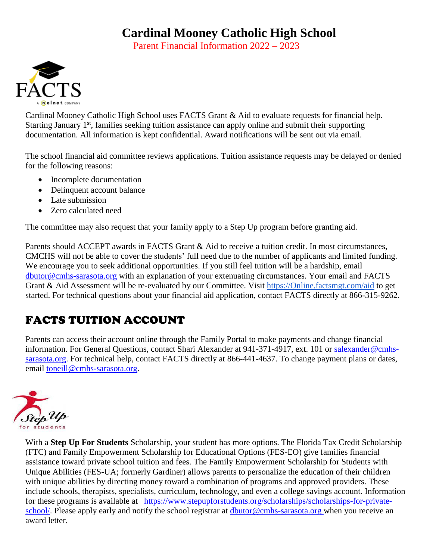## **Cardinal Mooney Catholic High School**

Parent Financial Information 2022 – 2023



Cardinal Mooney Catholic High School uses FACTS Grant & Aid to evaluate requests for financial help. Starting January  $1<sup>st</sup>$ , families seeking tuition assistance can apply online and submit their supporting documentation. All information is kept confidential. Award notifications will be sent out via email.

The school financial aid committee reviews applications. Tuition assistance requests may be delayed or denied for the following reasons:

- Incomplete documentation
- Delinquent account balance
- Late submission
- Zero calculated need

The committee may also request that your family apply to a Step Up program before granting aid.

Parents should ACCEPT awards in FACTS Grant & Aid to receive a tuition credit. In most circumstances, CMCHS will not be able to cover the students' full need due to the number of applicants and limited funding. We encourage you to seek additional opportunities. If you still feel tuition will be a hardship, email [dbutor@cmhs-sarasota.org](mailto:dbutor@cmhs-sarasota.org) with an explanation of your extenuating circumstances. Your email and FACTS Grant & Aid Assessment will be re-evaluated by our Committee. Visit [https://Online.factsmgt.com/aid](https://online.factsmgt.com/aid) to get started. For technical questions about your financial aid application, contact FACTS directly at 866-315-9262.

## FACTS TUITION ACCOUNT

Parents can access their account online through the Family Portal to make payments and change financial information. For General Questions, contact Shari Alexander at 941-371-4917, ext. 101 or [salexander@cmhs](mailto:salexander@cmhs-sarasota.org)[sarasota.org.](mailto:salexander@cmhs-sarasota.org) For technical help, contact FACTS directly at 866-441-4637. To change payment plans or dates, email [toneill@cmhs-sarasota.org.](mailto:toneill@cmhs-sarasota.org)



With a **Step Up For Students** Scholarship, your student has more options. The Florida Tax Credit Scholarship (FTC) and Family Empowerment Scholarship for Educational Options (FES-EO) give families financial assistance toward private school tuition and fees. The Family Empowerment Scholarship for Students with Unique Abilities (FES-UA; formerly Gardiner) allows parents to personalize the education of their children with unique abilities by directing money toward a combination of programs and approved providers. These include schools, therapists, specialists, curriculum, technology, and even a college savings account. Information for these programs is available at [https://www.stepupforstudents.org/scholarships/scholarships-for-private](https://www.stepupforstudents.org/scholarships/scholarships-for-private-school/)[school/.](https://www.stepupforstudents.org/scholarships/scholarships-for-private-school/) Please apply early and notify the school registrar at dbuto[r@cmhs-sarasota.org](mailto:jmades@cmhs-sarasota.org) when you receive an award letter.